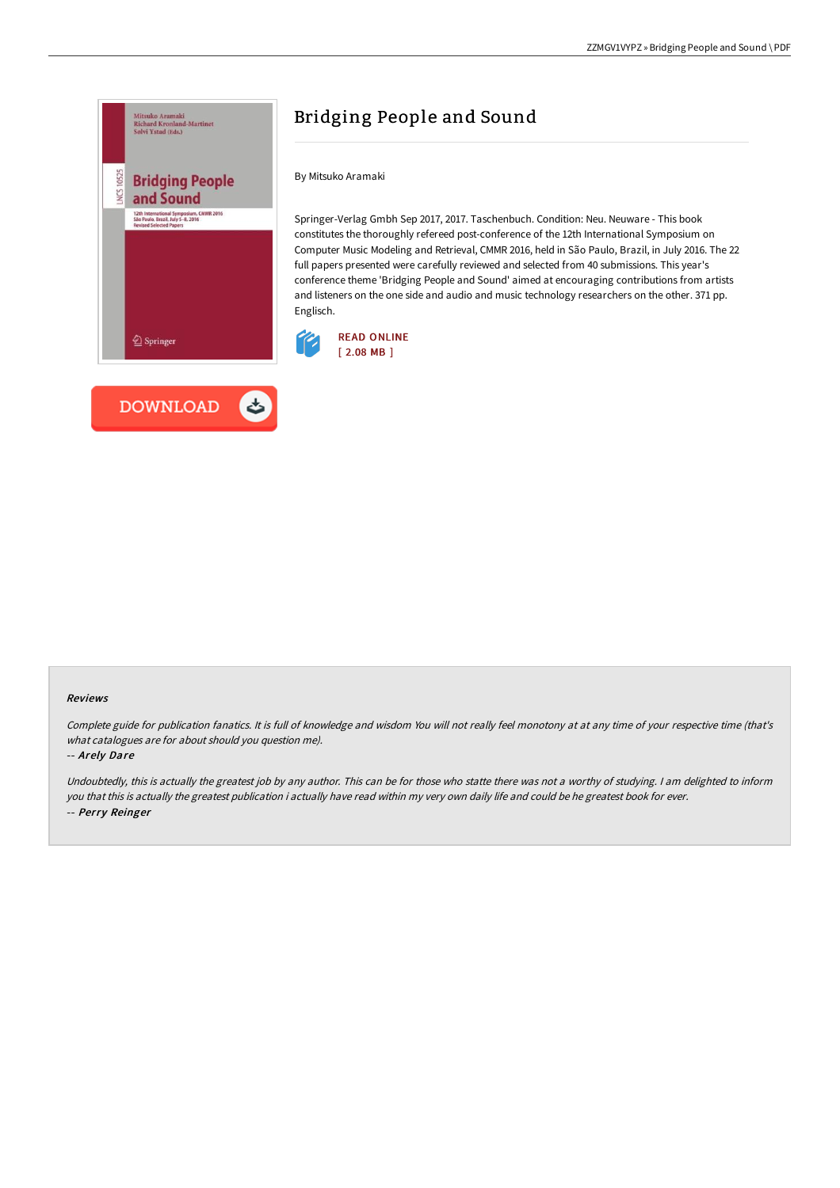

# Bridging People and Sound

By Mitsuko Aramaki

Springer-Verlag Gmbh Sep 2017, 2017. Taschenbuch. Condition: Neu. Neuware - This book constitutes the thoroughly refereed post-conference of the 12th International Symposium on Computer Music Modeling and Retrieval, CMMR 2016, held in São Paulo, Brazil, in July 2016. The 22 full papers presented were carefully reviewed and selected from 40 submissions. This year's conference theme 'Bridging People and Sound' aimed at encouraging contributions from artists and listeners on the one side and audio and music technology researchers on the other. 371 pp. Englisch.



#### Reviews

Complete guide for publication fanatics. It is full of knowledge and wisdom You will not really feel monotony at at any time of your respective time (that's what catalogues are for about should you question me).

#### -- Arely Dare

Undoubtedly, this is actually the greatest job by any author. This can be for those who statte there was not <sup>a</sup> worthy of studying. <sup>I</sup> am delighted to inform you that this is actually the greatest publication i actually have read within my very own daily life and could be he greatest book for ever. -- Perry Reinger